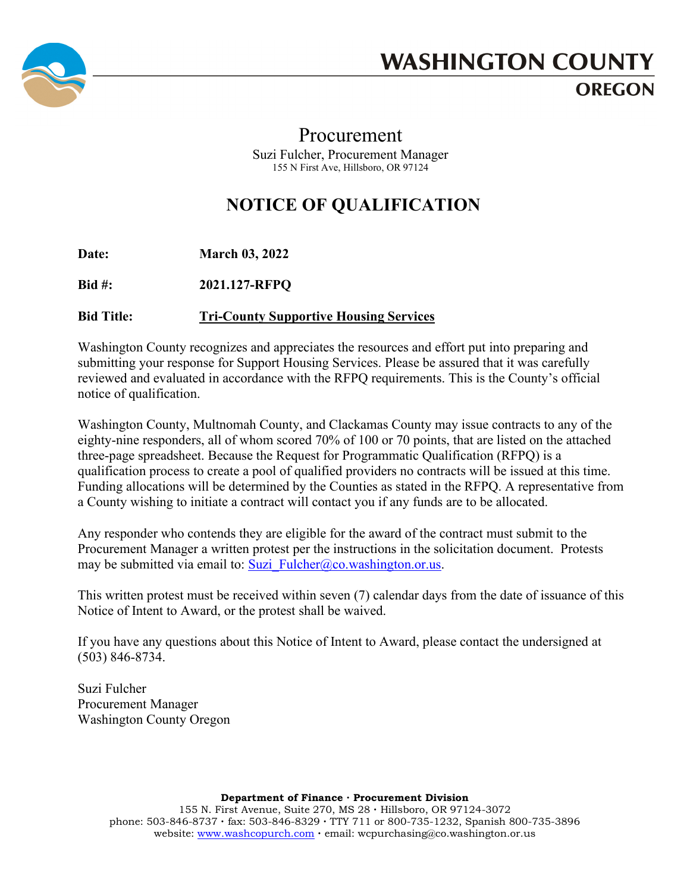

## **WASHINGTON COUNTY OREGON**

## Procurement Suzi Fulcher, Procurement Manager 155 N First Ave, Hillsboro, OR 97124

## **NOTICE OF QUALIFICATION**

**Date: March 03, 2022**

**Bid #: 2021.127-RFPQ**

**Bid Title: Tri-County Supportive Housing Services**

Washington County recognizes and appreciates the resources and effort put into preparing and submitting your response for Support Housing Services. Please be assured that it was carefully reviewed and evaluated in accordance with the RFPQ requirements. This is the County's official notice of qualification.

Washington County, Multnomah County, and Clackamas County may issue contracts to any of the eighty-nine responders, all of whom scored 70% of 100 or 70 points, that are listed on the attached three-page spreadsheet. Because the Request for Programmatic Qualification (RFPQ) is a qualification process to create a pool of qualified providers no contracts will be issued at this time. Funding allocations will be determined by the Counties as stated in the RFPQ. A representative from a County wishing to initiate a contract will contact you if any funds are to be allocated.

Any responder who contends they are eligible for the award of the contract must submit to the Procurement Manager a written protest per the instructions in the solicitation document. Protests may be submitted via email to: [Suzi\\_Fulcher@co.washington.or.us.](mailto:Suzi_Fulcher@co.washington.or.us)

This written protest must be received within seven (7) calendar days from the date of issuance of this Notice of Intent to Award, or the protest shall be waived.

If you have any questions about this Notice of Intent to Award, please contact the undersigned at (503) 846-8734.

Suzi Fulcher Procurement Manager Washington County Oregon

**Department of Finance ∙ Procurement Division**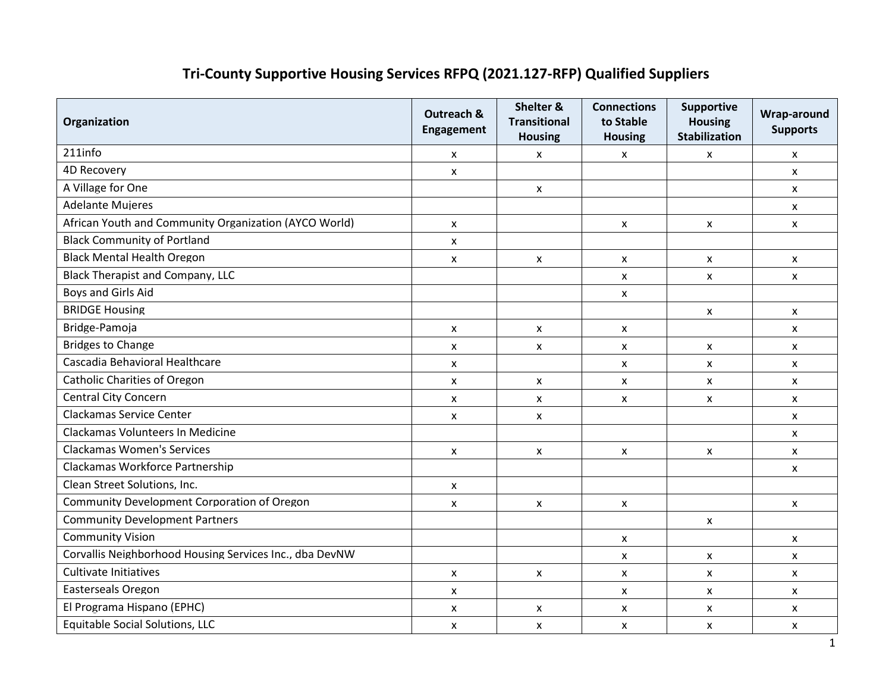## **Tri-County Supportive Housing Services RFPQ (2021.127-RFP) Qualified Suppliers**

| Organization                                            | <b>Outreach &amp;</b><br><b>Engagement</b> | Shelter &<br><b>Transitional</b><br><b>Housing</b> | <b>Connections</b><br>to Stable<br><b>Housing</b> | <b>Supportive</b><br><b>Housing</b><br><b>Stabilization</b> | Wrap-around<br><b>Supports</b> |
|---------------------------------------------------------|--------------------------------------------|----------------------------------------------------|---------------------------------------------------|-------------------------------------------------------------|--------------------------------|
| 211info                                                 | x                                          | x                                                  | X                                                 | X                                                           | $\boldsymbol{\mathsf{x}}$      |
| <b>4D Recovery</b>                                      | X                                          |                                                    |                                                   |                                                             | $\mathsf{x}$                   |
| A Village for One                                       |                                            | X                                                  |                                                   |                                                             | X                              |
| <b>Adelante Mujeres</b>                                 |                                            |                                                    |                                                   |                                                             | X                              |
| African Youth and Community Organization (AYCO World)   | $\boldsymbol{\mathsf{x}}$                  |                                                    | X                                                 | X                                                           | X                              |
| <b>Black Community of Portland</b>                      | X                                          |                                                    |                                                   |                                                             |                                |
| <b>Black Mental Health Oregon</b>                       | X                                          | $\mathsf{x}$                                       | $\mathsf{x}$                                      | $\mathsf{x}$                                                | X                              |
| <b>Black Therapist and Company, LLC</b>                 |                                            |                                                    | $\mathsf{x}$                                      | X                                                           | $\mathsf{x}$                   |
| Boys and Girls Aid                                      |                                            |                                                    | x                                                 |                                                             |                                |
| <b>BRIDGE Housing</b>                                   |                                            |                                                    |                                                   | $\mathsf{x}$                                                | $\mathsf{x}$                   |
| Bridge-Pamoja                                           | X                                          | X                                                  | X                                                 |                                                             | X                              |
| <b>Bridges to Change</b>                                | X                                          | X                                                  | X                                                 | $\mathsf{x}$                                                | X                              |
| Cascadia Behavioral Healthcare                          | X                                          |                                                    | X                                                 | X                                                           | X                              |
| <b>Catholic Charities of Oregon</b>                     | X                                          | X                                                  | X                                                 | X                                                           | X                              |
| <b>Central City Concern</b>                             | $\mathsf{x}$                               | X                                                  | $\pmb{\mathsf{X}}$                                | X                                                           | $\mathsf{x}$                   |
| <b>Clackamas Service Center</b>                         | $\mathsf{x}$                               | $\mathsf{x}$                                       |                                                   |                                                             | X                              |
| Clackamas Volunteers In Medicine                        |                                            |                                                    |                                                   |                                                             | X                              |
| <b>Clackamas Women's Services</b>                       | $\boldsymbol{\mathsf{x}}$                  | X                                                  | X                                                 | X                                                           | $\mathsf{x}$                   |
| Clackamas Workforce Partnership                         |                                            |                                                    |                                                   |                                                             | X                              |
| Clean Street Solutions, Inc.                            | X                                          |                                                    |                                                   |                                                             |                                |
| Community Development Corporation of Oregon             | $\mathsf{x}$                               | $\mathsf{x}$                                       | $\mathsf{x}$                                      |                                                             | $\mathsf{x}$                   |
| <b>Community Development Partners</b>                   |                                            |                                                    |                                                   | X                                                           |                                |
| <b>Community Vision</b>                                 |                                            |                                                    | X                                                 |                                                             | X                              |
| Corvallis Neighborhood Housing Services Inc., dba DevNW |                                            |                                                    | $\mathsf{x}$                                      | $\mathsf{x}$                                                | $\mathsf{x}$                   |
| Cultivate Initiatives                                   | X                                          | X                                                  | x                                                 | X                                                           | X                              |
| Easterseals Oregon                                      | x                                          |                                                    | X                                                 | X                                                           | X                              |
| El Programa Hispano (EPHC)                              | X                                          | X                                                  | $\pmb{\mathsf{X}}$                                | x                                                           | $\pmb{\mathsf{X}}$             |
| Equitable Social Solutions, LLC                         | X                                          | X                                                  | X                                                 | X                                                           | X                              |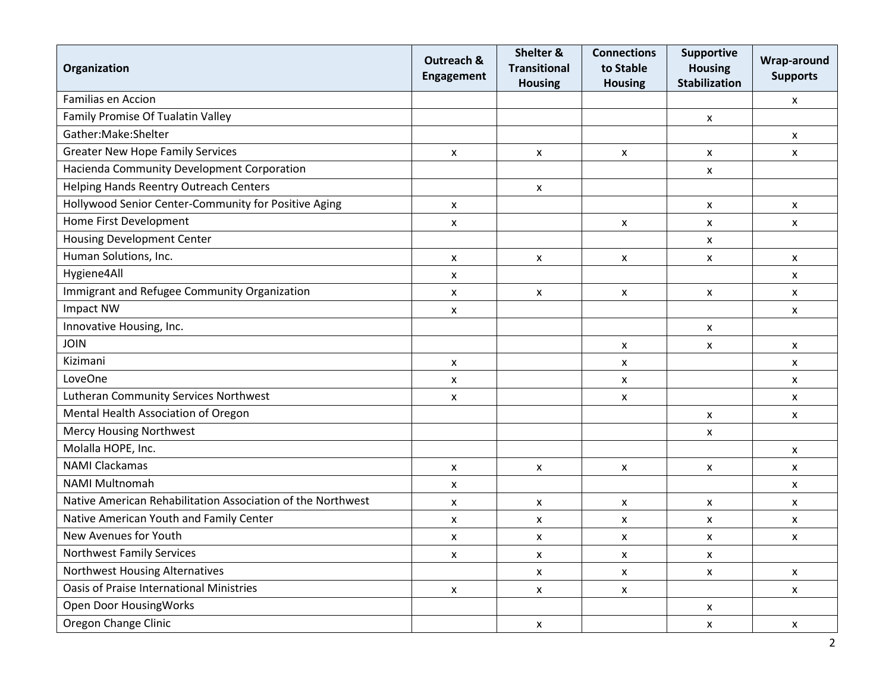| Organization                                                | <b>Outreach &amp;</b><br>Engagement | Shelter &<br><b>Transitional</b><br><b>Housing</b> | <b>Connections</b><br>to Stable<br><b>Housing</b> | Supportive<br><b>Housing</b><br><b>Stabilization</b> | Wrap-around<br><b>Supports</b> |
|-------------------------------------------------------------|-------------------------------------|----------------------------------------------------|---------------------------------------------------|------------------------------------------------------|--------------------------------|
| <b>Familias en Accion</b>                                   |                                     |                                                    |                                                   |                                                      | X                              |
| Family Promise Of Tualatin Valley                           |                                     |                                                    |                                                   | X                                                    |                                |
| Gather:Make:Shelter                                         |                                     |                                                    |                                                   |                                                      | X                              |
| <b>Greater New Hope Family Services</b>                     | X                                   | X                                                  | $\pmb{\mathsf{X}}$                                | X                                                    | $\boldsymbol{\mathsf{x}}$      |
| Hacienda Community Development Corporation                  |                                     |                                                    |                                                   | $\pmb{\mathsf{x}}$                                   |                                |
| <b>Helping Hands Reentry Outreach Centers</b>               |                                     | X                                                  |                                                   |                                                      |                                |
| Hollywood Senior Center-Community for Positive Aging        | X                                   |                                                    |                                                   | X                                                    | $\pmb{\mathsf{x}}$             |
| Home First Development                                      | X                                   |                                                    | X                                                 | X                                                    | X                              |
| <b>Housing Development Center</b>                           |                                     |                                                    |                                                   | X                                                    |                                |
| Human Solutions, Inc.                                       | X                                   | X                                                  | X                                                 | X                                                    | X                              |
| Hygiene4All                                                 | X                                   |                                                    |                                                   |                                                      | X                              |
| Immigrant and Refugee Community Organization                | X                                   | $\mathsf{x}$                                       | X                                                 | $\mathsf{x}$                                         | $\boldsymbol{\mathsf{x}}$      |
| Impact NW                                                   | X                                   |                                                    |                                                   |                                                      | X                              |
| Innovative Housing, Inc.                                    |                                     |                                                    |                                                   | X                                                    |                                |
| <b>JOIN</b>                                                 |                                     |                                                    | X                                                 | $\pmb{\mathsf{x}}$                                   | $\pmb{\mathsf{x}}$             |
| Kizimani                                                    | X                                   |                                                    | X                                                 |                                                      | X                              |
| LoveOne                                                     | X                                   |                                                    | X                                                 |                                                      | X                              |
| Lutheran Community Services Northwest                       | X                                   |                                                    | X                                                 |                                                      | X                              |
| Mental Health Association of Oregon                         |                                     |                                                    |                                                   | X                                                    | X                              |
| <b>Mercy Housing Northwest</b>                              |                                     |                                                    |                                                   | X                                                    |                                |
| Molalla HOPE, Inc.                                          |                                     |                                                    |                                                   |                                                      | $\boldsymbol{\mathsf{x}}$      |
| <b>NAMI Clackamas</b>                                       | X                                   | $\mathsf{x}$                                       | X                                                 | X                                                    | X                              |
| <b>NAMI Multnomah</b>                                       | X                                   |                                                    |                                                   |                                                      | $\pmb{\mathsf{x}}$             |
| Native American Rehabilitation Association of the Northwest | X                                   | X                                                  | X                                                 | X                                                    | $\pmb{\mathsf{x}}$             |
| Native American Youth and Family Center                     | X                                   | X                                                  | X                                                 | X                                                    | X                              |
| New Avenues for Youth                                       | X                                   | X                                                  | X                                                 | X                                                    | X                              |
| <b>Northwest Family Services</b>                            | X                                   | X                                                  | X                                                 | X                                                    |                                |
| <b>Northwest Housing Alternatives</b>                       |                                     | X                                                  | X                                                 | X                                                    | X                              |
| <b>Oasis of Praise International Ministries</b>             | X                                   | $\mathsf{x}$                                       | x                                                 |                                                      | $\boldsymbol{\mathsf{x}}$      |
| Open Door HousingWorks                                      |                                     |                                                    |                                                   | X                                                    |                                |
| Oregon Change Clinic                                        |                                     | X                                                  |                                                   | X                                                    | X                              |